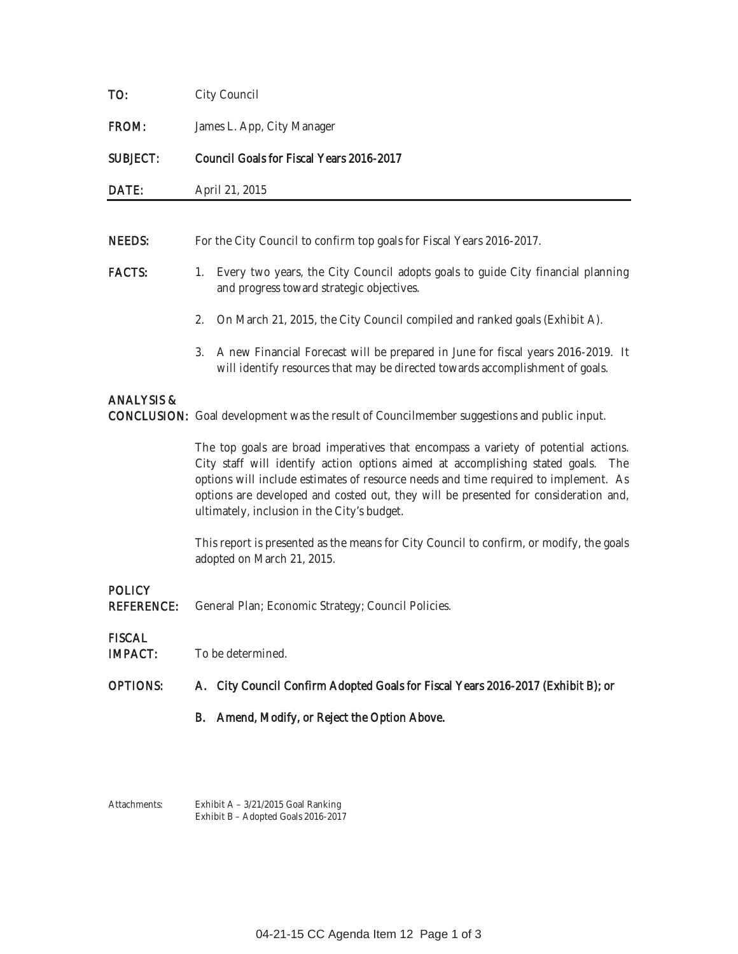| TO:                                | City Council                                                                                                                                                                                                                                                                                                                                                                                        |  |  |  |  |  |
|------------------------------------|-----------------------------------------------------------------------------------------------------------------------------------------------------------------------------------------------------------------------------------------------------------------------------------------------------------------------------------------------------------------------------------------------------|--|--|--|--|--|
| FROM:                              | James L. App, City Manager                                                                                                                                                                                                                                                                                                                                                                          |  |  |  |  |  |
| <b>SUBJECT:</b>                    | Council Goals for Fiscal Years 2016-2017                                                                                                                                                                                                                                                                                                                                                            |  |  |  |  |  |
| DATE:                              | April 21, 2015                                                                                                                                                                                                                                                                                                                                                                                      |  |  |  |  |  |
|                                    |                                                                                                                                                                                                                                                                                                                                                                                                     |  |  |  |  |  |
| <b>NEEDS:</b>                      | For the City Council to confirm top goals for Fiscal Years 2016-2017.                                                                                                                                                                                                                                                                                                                               |  |  |  |  |  |
| <b>FACTS:</b>                      | Every two years, the City Council adopts goals to guide City financial planning<br>1.<br>and progress toward strategic objectives.                                                                                                                                                                                                                                                                  |  |  |  |  |  |
|                                    | On March 21, 2015, the City Council compiled and ranked goals (Exhibit A).<br>2.                                                                                                                                                                                                                                                                                                                    |  |  |  |  |  |
|                                    | A new Financial Forecast will be prepared in June for fiscal years 2016-2019. It<br>3.<br>will identify resources that may be directed towards accomplishment of goals.                                                                                                                                                                                                                             |  |  |  |  |  |
| <b>ANALYSIS &amp;</b>              | CONCLUSION: Goal development was the result of Councilmember suggestions and public input.                                                                                                                                                                                                                                                                                                          |  |  |  |  |  |
|                                    | The top goals are broad imperatives that encompass a variety of potential actions.<br>City staff will identify action options aimed at accomplishing stated goals. The<br>options will include estimates of resource needs and time required to implement. As<br>options are developed and costed out, they will be presented for consideration and,<br>ultimately, inclusion in the City's budget. |  |  |  |  |  |
|                                    | This report is presented as the means for City Council to confirm, or modify, the goals<br>adopted on March 21, 2015.                                                                                                                                                                                                                                                                               |  |  |  |  |  |
| <b>POLICY</b><br><b>REFERENCE:</b> | General Plan; Economic Strategy; Council Policies.                                                                                                                                                                                                                                                                                                                                                  |  |  |  |  |  |
| <b>FISCAL</b><br><b>IMPACT:</b>    | To be determined.                                                                                                                                                                                                                                                                                                                                                                                   |  |  |  |  |  |
| <b>OPTIONS:</b>                    | A. City Council Confirm Adopted Goals for Fiscal Years 2016-2017 (Exhibit B); or                                                                                                                                                                                                                                                                                                                    |  |  |  |  |  |
|                                    | Amend, Modify, or Reject the Option Above.<br>В.                                                                                                                                                                                                                                                                                                                                                    |  |  |  |  |  |
|                                    |                                                                                                                                                                                                                                                                                                                                                                                                     |  |  |  |  |  |
| Attachments:                       | Exhibit A - 3/21/2015 Goal Ranking<br>Exhibit B - Adopted Goals 2016-2017                                                                                                                                                                                                                                                                                                                           |  |  |  |  |  |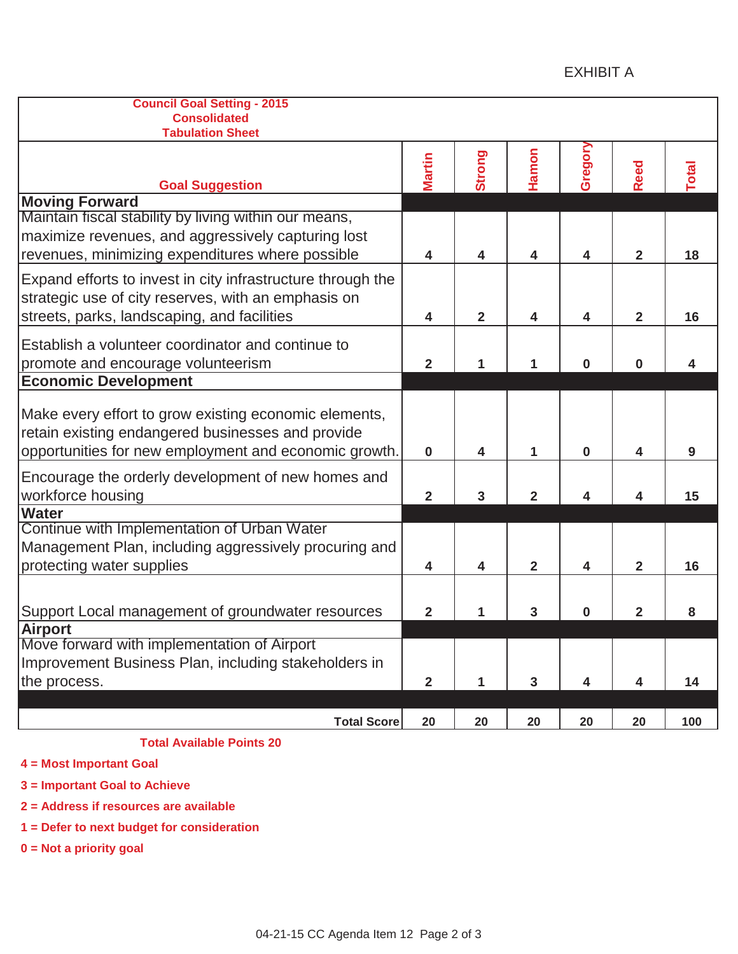## EXHIBIT A

| <b>Council Goal Setting - 2015</b><br><b>Consolidated</b><br><b>Tabulation Sheet</b>                                                                                |                |                |                         |          |                         |       |
|---------------------------------------------------------------------------------------------------------------------------------------------------------------------|----------------|----------------|-------------------------|----------|-------------------------|-------|
| <b>Goal Suggestion</b>                                                                                                                                              | <b>Martin</b>  | Strong         | Hamon                   | Gregory  | <b>Reed</b>             | Total |
| <b>Moving Forward</b>                                                                                                                                               |                |                |                         |          |                         |       |
| Maintain fiscal stability by living within our means,<br>maximize revenues, and aggressively capturing lost<br>revenues, minimizing expenditures where possible     | 4              | 4              | $\overline{\mathbf{4}}$ | 4        | $\overline{\mathbf{2}}$ | 18    |
| Expand efforts to invest in city infrastructure through the<br>strategic use of city reserves, with an emphasis on<br>streets, parks, landscaping, and facilities   | 4              | $\overline{2}$ | $\overline{\mathbf{4}}$ | 4        | $\overline{2}$          | 16    |
| Establish a volunteer coordinator and continue to<br>promote and encourage volunteerism                                                                             |                | 1              | 1                       | $\bf{0}$ | $\bf{0}$                | 4     |
| <b>Economic Development</b>                                                                                                                                         |                |                |                         |          |                         |       |
| Make every effort to grow existing economic elements,<br>retain existing endangered businesses and provide<br>opportunities for new employment and economic growth. | $\mathbf 0$    | 4              | 1                       | 0        | 4                       | 9     |
| Encourage the orderly development of new homes and<br>workforce housing                                                                                             | $\overline{2}$ | 3              | $\overline{2}$          | 4        | 4                       | 15    |
| <b>Water</b><br>Continue with Implementation of Urban Water<br>Management Plan, including aggressively procuring and<br>protecting water supplies                   | 4              | 4              | $\overline{2}$          | 4        | $\mathbf{2}$            | 16    |
| Support Local management of groundwater resources                                                                                                                   | $\mathbf{2}$   | 1              | 3                       | 0        | $\overline{2}$          | 8     |
| Airport                                                                                                                                                             |                |                |                         |          |                         |       |
| Move forward with implementation of Airport<br>Improvement Business Plan, including stakeholders in<br>the process.                                                 | $\overline{2}$ | 1              | $\mathbf{3}$            | 4        | $\overline{\mathbf{4}}$ | 14    |
|                                                                                                                                                                     |                |                |                         |          |                         |       |
| <b>Total Score</b>                                                                                                                                                  | 20             | 20             | 20                      | 20       | 20                      | 100   |

### **Total Available Points 20**

**4 = Most Important Goal**

**3 = Important Goal to Achieve**

**2 = Address if resources are available**

**1 = Defer to next budget for consideration**

**0 = Not a priority goal**